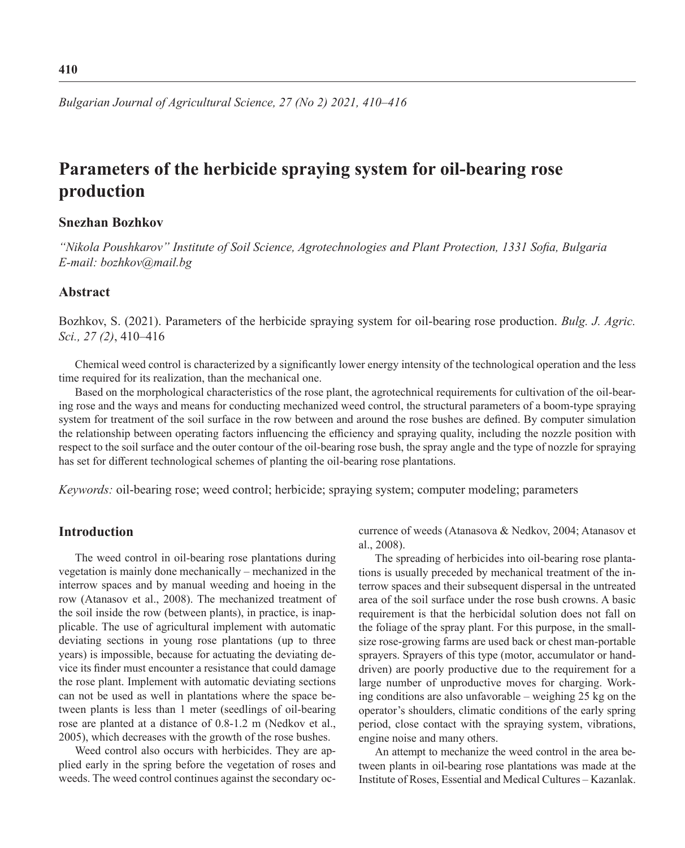*Bulgarian Journal of Agricultural Science, 27 (No 2) 2021, 410–416*

# **Parameters of the herbicide spraying system for oil-bearing rose production**

## **Snezhan Bozhkov**

*"Nikola Poushkarov" Institute of Soil Science, Agrotechnologies and Plant Protection, 1331 Sofia, Bulgaria E-mail: bozhkov@mail.bg*

# **Abstract**

Bozhkov, S. (2021). Parameters of the herbicide spraying system for oil-bearing rose production. *Bulg. J. Agric. Sci., 27 (2)*, 410–416

Chemical weed control is characterized by a significantly lower energy intensity of the technological operation and the less time required for its realization, than the mechanical one.

Based on the morphological characteristics of the rose plant, the agrotechnical requirements for cultivation of the oil-bearing rose and the ways and means for conducting mechanized weed control, the structural parameters of a boom-type spraying system for treatment of the soil surface in the row between and around the rose bushes are defined. By computer simulation the relationship between operating factors influencing the efficiency and spraying quality, including the nozzle position with respect to the soil surface and the outer contour of the oil-bearing rose bush, the spray angle and the type of nozzle for spraying has set for different technological schemes of planting the oil-bearing rose plantations.

*Keywords:* oil-bearing rose; weed control; herbicide; spraying system; computer modeling; parameters

#### **Introduction**

The weed control in oil-bearing rose plantations during vegetation is mainly done mechanically – mechanized in the interrow spaces and by manual weeding and hoeing in the row (Atanasov et al., 2008). The mechanized treatment of the soil inside the row (between plants), in practice, is inapplicable. The use of agricultural implement with automatic deviating sections in young rose plantations (up to three years) is impossible, because for actuating the deviating device its finder must encounter a resistance that could damage the rose plant. Implement with automatic deviating sections can not be used as well in plantations where the space between plants is less than 1 meter (seedlings of oil-bearing rose are planted at a distance of 0.8-1.2 m (Nedkov et al., 2005), which decreases with the growth of the rose bushes.

Weed control also occurs with herbicides. They are applied early in the spring before the vegetation of roses and weeds. The weed control continues against the secondary occurrence of weeds (Atanasova & Nedkov, 2004; Atanasov et al., 2008).

The spreading of herbicides into oil-bearing rose plantations is usually preceded by mechanical treatment of the interrow spaces and their subsequent dispersal in the untreated area of the soil surface under the rose bush crowns. A basic requirement is that the herbicidal solution does not fall on the foliage of the spray plant. For this purpose, in the smallsize rose-growing farms are used back or chest man-portable sprayers. Sprayers of this type (motor, accumulator or handdriven) are poorly productive due to the requirement for a large number of unproductive moves for charging. Working conditions are also unfavorable – weighing 25 kg on the operator's shoulders, climatic conditions of the early spring period, close contact with the spraying system, vibrations, engine noise and many others.

An attempt to mechanize the weed control in the area between plants in oil-bearing rose plantations was made at the Institute of Roses, Essential and Medical Cultures – Kazanlak.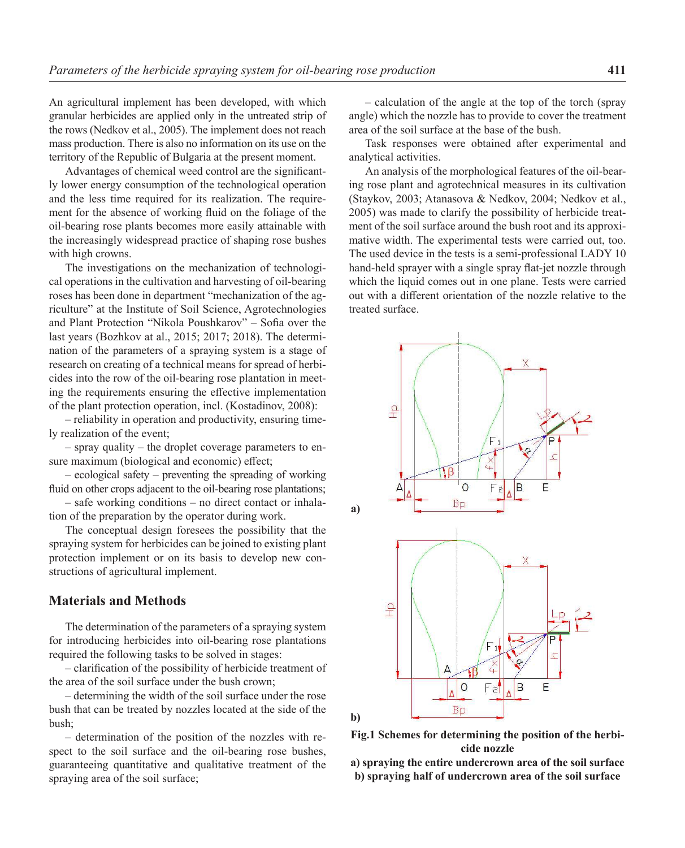An agricultural implement has been developed, with which granular herbicides are applied only in the untreated strip of the rows (Nedkov et al., 2005). The implement does not reach mass production. There is also no information on its use on the territory of the Republic of Bulgaria at the present moment.

Advantages of chemical weed control are the significantly lower energy consumption of the technological operation and the less time required for its realization. The requirement for the absence of working fluid on the foliage of the oil-bearing rose plants becomes more easily attainable with the increasingly widespread practice of shaping rose bushes with high crowns.

The investigations on the mechanization of technological operations in the cultivation and harvesting of oil-bearing roses has been done in department "mechanization of the agriculture" at the Institute of Soil Science, Agrotechnologies and Plant Protection "Nikola Poushkarov" – Sofia over the last years (Bozhkov at al., 2015; 2017; 2018). The determination of the parameters of a spraying system is a stage of research on creating of a technical means for spread of herbicides into the row of the oil-bearing rose plantation in meeting the requirements ensuring the effective implementation of the plant protection operation, incl. (Kostadinov, 2008):

– reliability in operation and productivity, ensuring timely realization of the event;

– spray quality – the droplet coverage parameters to ensure maximum (biological and economic) effect;

– ecological safety – preventing the spreading of working fluid on other crops adjacent to the oil-bearing rose plantations;

– safe working conditions – no direct contact or inhalation of the preparation by the operator during work.

The conceptual design foresees the possibility that the spraying system for herbicides can be joined to existing plant protection implement or on its basis to develop new constructions of agricultural implement.

# **Materials and Methods**

The determination of the parameters of a spraying system for introducing herbicides into oil-bearing rose plantations required the following tasks to be solved in stages:

– clarification of the possibility of herbicide treatment of the area of the soil surface under the bush crown;

– determining the width of the soil surface under the rose bush that can be treated by nozzles located at the side of the bush;

– determination of the position of the nozzles with respect to the soil surface and the oil-bearing rose bushes, guaranteeing quantitative and qualitative treatment of the spraying area of the soil surface;

– calculation of the angle at the top of the torch (spray angle) which the nozzle has to provide to cover the treatment area of the soil surface at the base of the bush.

Task responses were obtained after experimental and analytical activities.

An analysis of the morphological features of the oil-bearing rose plant and agrotechnical measures in its cultivation (Staykov, 2003; Atanasova & Nedkov, 2004; Nedkov et al., 2005) was made to clarify the possibility of herbicide treatment of the soil surface around the bush root and its approximative width. The experimental tests were carried out, too. The used device in the tests is a semi-professional LADY 10 hand-held sprayer with a single spray flat-jet nozzle through which the liquid comes out in one plane. Tests were carried out with a different orientation of the nozzle relative to the treated surface.





**a) spraying the entire undercrown area of the soil surface b) spraying half of undercrown area of the soil surface**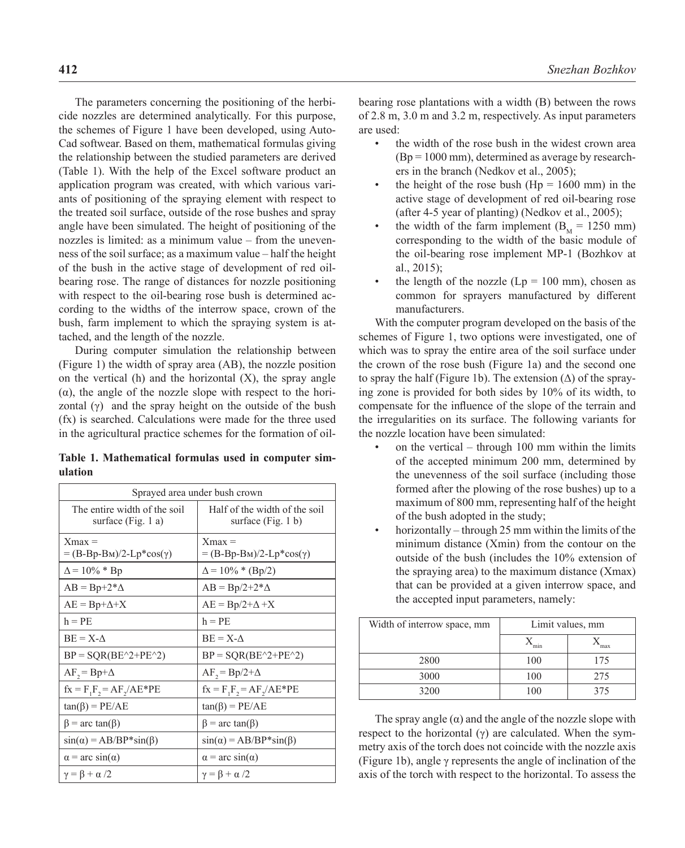The parameters concerning the positioning of the herbicide nozzles are determined analytically. For this purpose, the schemes of Figure 1 have been developed, using Auto-Cad softwear. Based on them, mathematical formulas giving the relationship between the studied parameters are derived (Table 1). With the help of the Excel software product an application program was created, with which various variants of positioning of the spraying element with respect to the treated soil surface, outside of the rose bushes and spray angle have been simulated. The height of positioning of the nozzles is limited: as a minimum value – from the unevenness of the soil surface; as a maximum value – half the height of the bush in the active stage of development of red oilbearing rose. The range of distances for nozzle positioning with respect to the oil-bearing rose bush is determined according to the widths of the interrow space, crown of the bush, farm implement to which the spraying system is attached, and the length of the nozzle.

During computer simulation the relationship between (Figure 1) the width of spray area (AB), the nozzle position on the vertical  $(h)$  and the horizontal  $(X)$ , the spray angle (α), the angle of the nozzle slope with respect to the horizontal  $(γ)$  and the spray height on the outside of the bush (fx) is searched. Calculations were made for the three used in the agricultural practice schemes for the formation of oil-

**Table 1. Mathematical formulas used in computer simulation**

| Sprayed area under bush crown                      |                                                       |  |  |
|----------------------------------------------------|-------------------------------------------------------|--|--|
| The entire width of the soil<br>surface (Fig. 1 a) | Half of the width of the soil<br>surface $(Fig. 1 b)$ |  |  |
| $Xmax =$<br>$=(B-Bp-BM)/2-Lp*cos(\gamma)$          | $Xmax =$<br>$=(B-Bp-BM)/2-Lp*cos(\gamma)$             |  |  |
| $\Delta$ = 10% * Bp                                | $\Delta$ = 10% * (Bp/2)                               |  |  |
| $AB = Bp + 2^*\Delta$                              | $AB = Bp/2+2^*\Delta$                                 |  |  |
| $AE = Bp + \Delta + X$                             | $AE = Bp/2 + \Delta + X$                              |  |  |
| $h = PE$                                           | $h = PE$                                              |  |  |
| $BE = X - A$                                       | $BE = X - A$                                          |  |  |
| $BP = SQR(BE^2+PE^2)$                              | $BP = SQR(BE^2+PE^2)$                                 |  |  |
| $AF_2 = Bp + \Delta$                               | $AF_2 = Bp/2 + \Delta$                                |  |  |
| $fx = F_1F_2 = AF_2/AE*PE$                         | $fx = F_1F_2 = AF_2/AE^*PE$                           |  |  |
| $tan(\beta) = PE/AE$                               | $tan(\beta) = PE/AE$                                  |  |  |
| $\beta$ = arc tan( $\beta$ )                       | $\beta$ = arc tan( $\beta$ )                          |  |  |
| $sin(\alpha) = AB/BP*sin(\beta)$                   | $sin(\alpha) = AB/BP*sin(\beta)$                      |  |  |
| $\alpha$ = arc sin( $\alpha$ )                     | $\alpha$ = arc sin( $\alpha$ )                        |  |  |
| $\gamma = \beta + \alpha/2$                        | $\gamma = \beta + \alpha/2$                           |  |  |

bearing rose plantations with a width (B) between the rows of 2.8 m, 3.0 m and 3.2 m, respectively. As input parameters are used:

- the width of the rose bush in the widest crown area  $(Bp = 1000 \text{ mm})$ , determined as average by researchers in the branch (Nedkov et al., 2005);
- the height of the rose bush ( $Hp = 1600$  mm) in the active stage of development of red oil-bearing rose (after 4-5 year of planting) (Nedkov et al., 2005);
- the width of the farm implement  $(B<sub>M</sub> = 1250$  mm) corresponding to the width of the basic module of the oil-bearing rose implement MP-1 (Bozhkov at al., 2015);
- the length of the nozzle  $(Lp = 100 \text{ mm})$ , chosen as common for sprayers manufactured by different manufacturers.

With the computer program developed on the basis of the schemes of Figure 1, two options were investigated, one of which was to spray the entire area of the soil surface under the crown of the rose bush (Figure 1a) and the second one to spray the half (Figure 1b). The extension  $(\Delta)$  of the spraying zone is provided for both sides by 10% of its width, to compensate for the influence of the slope of the terrain and the irregularities on its surface. The following variants for the nozzle location have been simulated:

- on the vertical through  $100$  mm within the limits of the accepted minimum 200 mm, determined by the unevenness of the soil surface (including those formed after the plowing of the rose bushes) up to a maximum of 800 mm, representing half of the height of the bush adopted in the study;
- horizontally through 25 mm within the limits of the minimum distance (Xmin) from the contour on the outside of the bush (includes the 10% extension of the spraying area) to the maximum distance (Xmax) that can be provided at a given interrow space, and the accepted input parameters, namely:

| Width of interrow space, mm | Limit values, mm |     |  |
|-----------------------------|------------------|-----|--|
|                             | min              | max |  |
| 2800                        | 100              | 175 |  |
| 3000                        | 100              | 275 |  |
| 3200                        | 100              | 375 |  |

The spray angle  $(\alpha)$  and the angle of the nozzle slope with respect to the horizontal  $(y)$  are calculated. When the symmetry axis of the torch does not coincide with the nozzle axis (Figure 1b), angle γ represents the angle of inclination of the axis of the torch with respect to the horizontal. To assess the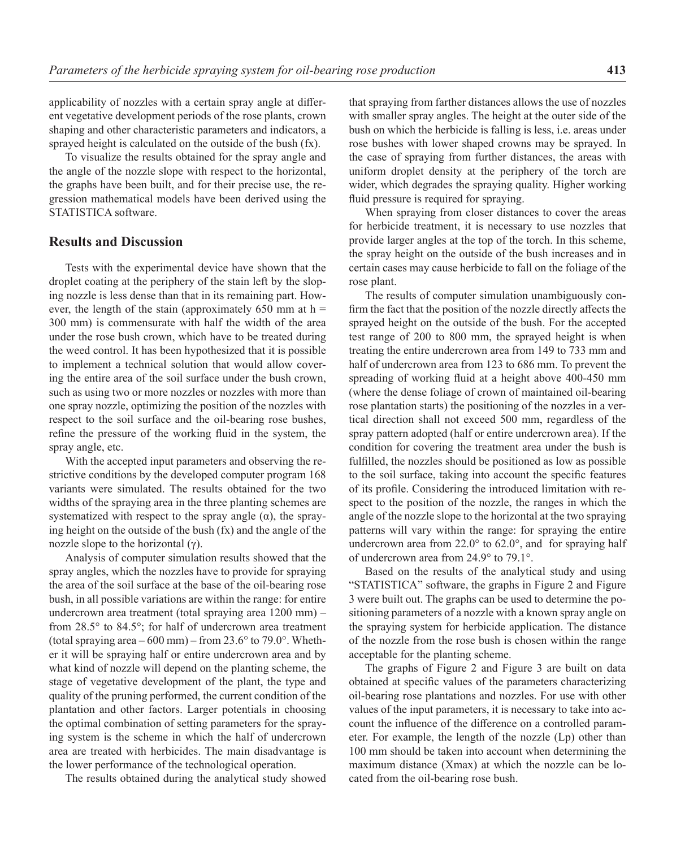applicability of nozzles with a certain spray angle at different vegetative development periods of the rose plants, crown shaping and other characteristic parameters and indicators, a sprayed height is calculated on the outside of the bush (fx).

To visualize the results obtained for the spray angle and the angle of the nozzle slope with respect to the horizontal, the graphs have been built, and for their precise use, the regression mathematical models have been derived using the STATISTICA software.

# **Results and Discussion**

Tests with the experimental device have shown that the droplet coating at the periphery of the stain left by the sloping nozzle is less dense than that in its remaining part. However, the length of the stain (approximately  $650$  mm at h = 300 mm) is commensurate with half the width of the area under the rose bush crown, which have to be treated during the weed control. It has been hypothesized that it is possible to implement a technical solution that would allow covering the entire area of the soil surface under the bush crown, such as using two or more nozzles or nozzles with more than one spray nozzle, optimizing the position of the nozzles with respect to the soil surface and the oil-bearing rose bushes, refine the pressure of the working fluid in the system, the spray angle, etc.

With the accepted input parameters and observing the restrictive conditions by the developed computer program 168 variants were simulated. The results obtained for the two widths of the spraying area in the three planting schemes are systematized with respect to the spray angle  $(\alpha)$ , the spraying height on the outside of the bush (fx) and the angle of the nozzle slope to the horizontal  $(γ)$ .

Analysis of computer simulation results showed that the spray angles, which the nozzles have to provide for spraying the area of the soil surface at the base of the oil-bearing rose bush, in all possible variations are within the range: for entire undercrown area treatment (total spraying area 1200 mm) – from 28.5° to 84.5°; for half of undercrown area treatment (total spraying area  $-600$  mm) – from 23.6 $\degree$  to 79.0 $\degree$ . Whether it will be spraying half or entire undercrown area and by what kind of nozzle will depend on the planting scheme, the stage of vegetative development of the plant, the type and quality of the pruning performed, the current condition of the plantation and other factors. Larger potentials in choosing the optimal combination of setting parameters for the spraying system is the scheme in which the half of undercrown area are treated with herbicides. The main disadvantage is the lower performance of the technological operation.

The results obtained during the analytical study showed

that spraying from farther distances allows the use of nozzles with smaller spray angles. The height at the outer side of the bush on which the herbicide is falling is less, i.e. areas under rose bushes with lower shaped crowns may be sprayed. In the case of spraying from further distances, the areas with uniform droplet density at the periphery of the torch are wider, which degrades the spraying quality. Higher working fluid pressure is required for spraying.

When spraying from closer distances to cover the areas for herbicide treatment, it is necessary to use nozzles that provide larger angles at the top of the torch. In this scheme, the spray height on the outside of the bush increases and in certain cases may cause herbicide to fall on the foliage of the rose plant.

The results of computer simulation unambiguously confirm the fact that the position of the nozzle directly affects the sprayed height on the outside of the bush. For the accepted test range of 200 to 800 mm, the sprayed height is when treating the entire undercrown area from 149 to 733 mm and half of undercrown area from 123 to 686 mm. To prevent the spreading of working fluid at a height above 400-450 mm (where the dense foliage of crown of maintained oil-bearing rose plantation starts) the positioning of the nozzles in a vertical direction shall not exceed 500 mm, regardless of the spray pattern adopted (half or entire undercrown area). If the condition for covering the treatment area under the bush is fulfilled, the nozzles should be positioned as low as possible to the soil surface, taking into account the specific features of its profile. Considering the introduced limitation with respect to the position of the nozzle, the ranges in which the angle of the nozzle slope to the horizontal at the two spraying patterns will vary within the range: for spraying the entire undercrown area from 22.0° to 62.0°, and for spraying half of undercrown area from 24.9° to 79.1°.

Based on the results of the analytical study and using "STATISTICA" software, the graphs in Figure 2 and Figure 3 were built out. The graphs can be used to determine the positioning parameters of a nozzle with a known spray angle on the spraying system for herbicide application. The distance of the nozzle from the rose bush is chosen within the range acceptable for the planting scheme.

The graphs of Figure 2 and Figure 3 are built on data obtained at specific values of the parameters characterizing oil-bearing rose plantations and nozzles. For use with other values of the input parameters, it is necessary to take into account the influence of the difference on a controlled parameter. For example, the length of the nozzle (Lp) other than 100 mm should be taken into account when determining the maximum distance (Xmax) at which the nozzle can be located from the oil-bearing rose bush.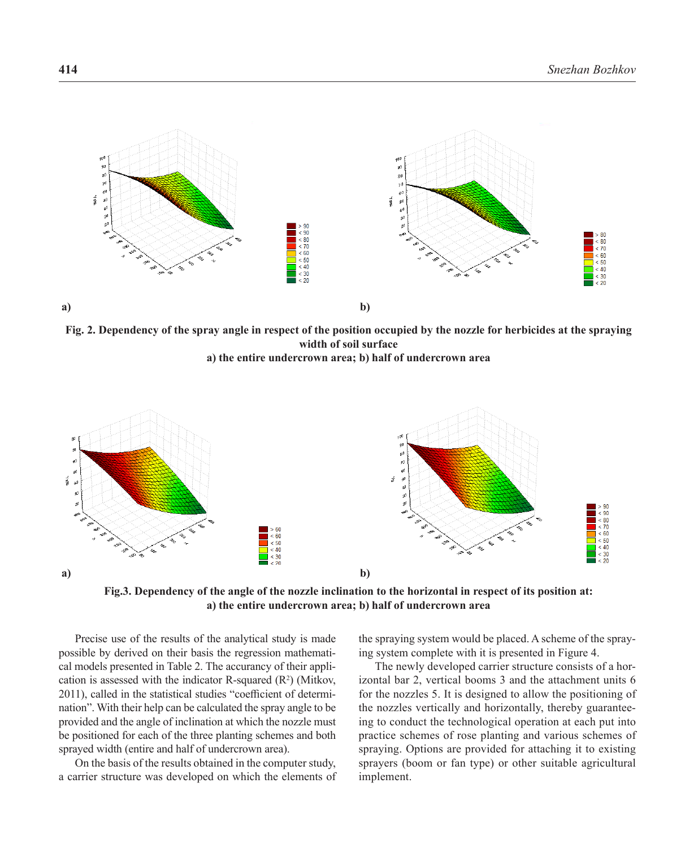

**Fig. 2. Dependency of the spray angle in respect of the position occupied by the nozzle for herbicides at the spraying width of soil surface a) the entire undercrown area; b) half of undercrown area**



**Fig.3. Dependency of the angle of the nozzle inclination to the horizontal in respect of its position at: a) the entire undercrown area; b) half of undercrown area**

Precise use of the results of the analytical study is made possible by derived on their basis the regression mathematical models presented in Table 2. The accurancy of their application is assessed with the indicator R-squared  $(R^2)$  (Mitkov, 2011), called in the statistical studies "coefficient of determination". With their help can be calculated the spray angle to be provided and the angle of inclination at which the nozzle must be positioned for each of the three planting schemes and both sprayed width (entire and half of undercrown area).

On the basis of the results obtained in the computer study, a carrier structure was developed on which the elements of the spraying system would be placed. A scheme of the spraying system complete with it is presented in Figure 4.

The newly developed carrier structure consists of a horizontal bar 2, vertical booms 3 and the attachment units 6 for the nozzles 5. It is designed to allow the positioning of the nozzles vertically and horizontally, thereby guaranteeing to conduct the technological operation at each put into practice schemes of rose planting and various schemes of spraying. Options are provided for attaching it to existing sprayers (boom or fan type) or other suitable agricultural implement.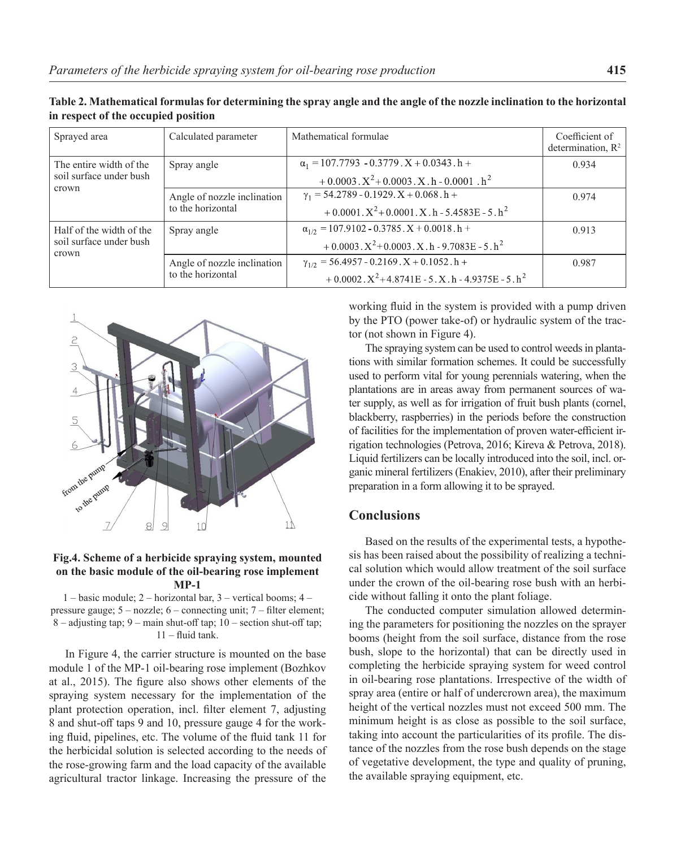| Sprayed area                                                 | Calculated parameter                             | Mathematical formulae                                                | Coefficient of<br>determination, $R^2$ |
|--------------------------------------------------------------|--------------------------------------------------|----------------------------------------------------------------------|----------------------------------------|
| The entire width of the<br>soil surface under bush<br>crown  | Spray angle                                      | $\alpha_1 = 107.7793 - 0.3779$ . $X + 0.0343$ . h +                  | 0.934                                  |
|                                                              |                                                  | $+0.0003 \cdot X^2 + 0.0003 \cdot X \cdot h - 0.0001 \cdot h^2$      |                                        |
|                                                              | Angle of nozzle inclination<br>to the horizontal | $\gamma_1$ = 54.2789 - 0.1929. X + 0.068. h +                        | 0.974                                  |
|                                                              |                                                  | $+0.0001$ . $X^2$ +0.0001. X. h - 5.4583E - 5. h <sup>2</sup>        |                                        |
| Half of the width of the<br>soil surface under bush<br>crown | Spray angle                                      | $\alpha_{1/2}$ = 107.9102 - 0.3785. X + 0.0018. h +                  | 0.913                                  |
|                                                              |                                                  | $+0.0003 \cdot X^2 + 0.0003 \cdot X \cdot h - 9.7083E - 5 \cdot h^2$ |                                        |
|                                                              | Angle of nozzle inclination<br>to the horizontal | $\gamma_{1/2}$ = 56.4957 - 0.2169 . X + 0.1052 . h +                 | 0.987                                  |
|                                                              |                                                  | $+0.0002$ , $X^2+4.8741E-5$ , X, h - 4.9375E - 5, h <sup>2</sup>     |                                        |

**Table 2. Mathematical formulas for determining the spray angle and the angle of the nozzle inclination to the horizontal in respect of the occupied position**



#### **Fig.4. Scheme of a herbicide spraying system, mounted on the basic module of the oil-bearing rose implement MP-1**

1 – basic module; 2 – horizontal bar, 3 – vertical booms; 4 – pressure gauge; 5 – nozzle; 6 – connecting unit; 7 – filter element; 8 – adjusting tap; 9 – main shut-off tap; 10 – section shut-off tap; 11 – fluid tank.

In Figure 4, the carrier structure is mounted on the base module 1 of the MP-1 oil-bearing rose implement (Bozhkov at al., 2015). The figure also shows other elements of the spraying system necessary for the implementation of the plant protection operation, incl. filter element 7, adjusting 8 and shut-off taps 9 and 10, pressure gauge 4 for the working fluid, pipelines, etc. The volume of the fluid tank 11 for the herbicidal solution is selected according to the needs of the rose-growing farm and the load capacity of the available agricultural tractor linkage. Increasing the pressure of the

working fluid in the system is provided with a pump driven by the PTO (power take-of) or hydraulic system of the tractor (not shown in Figure 4).

The spraying system can be used to control weeds in plantations with similar formation schemes. It could be successfully used to perform vital for young perennials watering, when the plantations are in areas away from permanent sources of water supply, as well as for irrigation of fruit bush plants (cornel, blackberry, raspberries) in the periods before the construction of facilities for the implementation of proven water-efficient irrigation technologies (Petrova, 2016; Kireva & Petrova, 2018). Liquid fertilizers can be locally introduced into the soil, incl. organic mineral fertilizers (Enakiev, 2010), after their preliminary preparation in a form allowing it to be sprayed.

## **Conclusions**

Based on the results of the experimental tests, a hypothesis has been raised about the possibility of realizing a technical solution which would allow treatment of the soil surface under the crown of the oil-bearing rose bush with an herbicide without falling it onto the plant foliage.

The conducted computer simulation allowed determining the parameters for positioning the nozzles on the sprayer booms (height from the soil surface, distance from the rose bush, slope to the horizontal) that can be directly used in completing the herbicide spraying system for weed control in oil-bearing rose plantations. Irrespective of the width of spray area (entire or half of undercrown area), the maximum height of the vertical nozzles must not exceed 500 mm. The minimum height is as close as possible to the soil surface, taking into account the particularities of its profile. The distance of the nozzles from the rose bush depends on the stage of vegetative development, the type and quality of pruning, the available spraying equipment, etc.